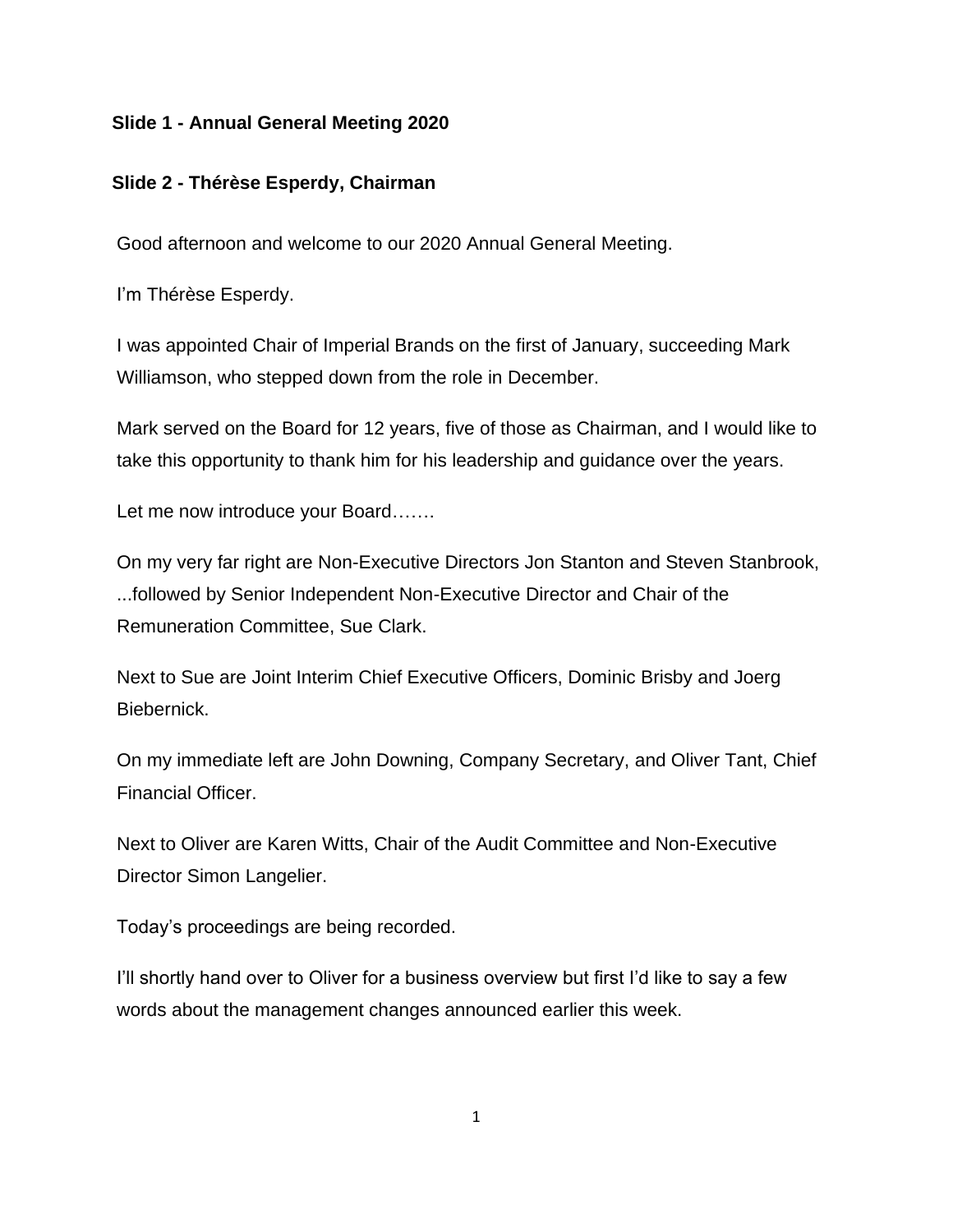#### **Slide 1 - Annual General Meeting 2020**

#### **Slide 2 - Thérèse Esperdy, Chairman**

Good afternoon and welcome to our 2020 Annual General Meeting.

I'm Thérèse Esperdy.

I was appointed Chair of Imperial Brands on the first of January, succeeding Mark Williamson, who stepped down from the role in December.

Mark served on the Board for 12 years, five of those as Chairman, and I would like to take this opportunity to thank him for his leadership and guidance over the years.

Let me now introduce your Board.......

On my very far right are Non-Executive Directors Jon Stanton and Steven Stanbrook, ...followed by Senior Independent Non-Executive Director and Chair of the Remuneration Committee, Sue Clark.

Next to Sue are Joint Interim Chief Executive Officers, Dominic Brisby and Joerg Biebernick.

On my immediate left are John Downing, Company Secretary, and Oliver Tant, Chief Financial Officer.

Next to Oliver are Karen Witts, Chair of the Audit Committee and Non-Executive Director Simon Langelier.

Today's proceedings are being recorded.

I'll shortly hand over to Oliver for a business overview but first I'd like to say a few words about the management changes announced earlier this week.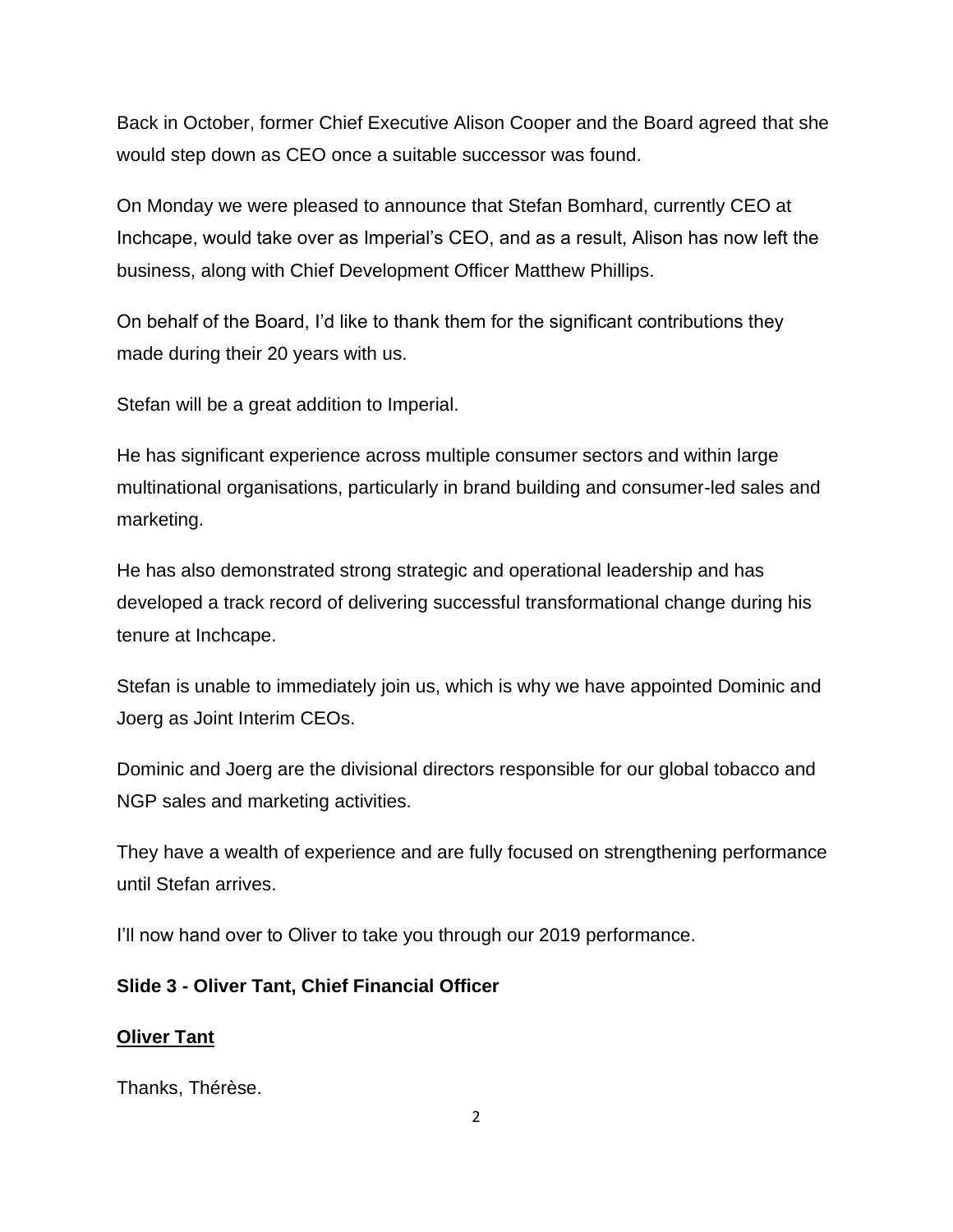Back in October, former Chief Executive Alison Cooper and the Board agreed that she would step down as CEO once a suitable successor was found.

On Monday we were pleased to announce that Stefan Bomhard, currently CEO at Inchcape, would take over as Imperial's CEO, and as a result, Alison has now left the business, along with Chief Development Officer Matthew Phillips.

On behalf of the Board, I'd like to thank them for the significant contributions they made during their 20 years with us.

Stefan will be a great addition to Imperial.

He has significant experience across multiple consumer sectors and within large multinational organisations, particularly in brand building and consumer-led sales and marketing.

He has also demonstrated strong strategic and operational leadership and has developed a track record of delivering successful transformational change during his tenure at Inchcape.

Stefan is unable to immediately join us, which is why we have appointed Dominic and Joerg as Joint Interim CEOs.

Dominic and Joerg are the divisional directors responsible for our global tobacco and NGP sales and marketing activities.

They have a wealth of experience and are fully focused on strengthening performance until Stefan arrives.

I'll now hand over to Oliver to take you through our 2019 performance.

# **Slide 3 - Oliver Tant, Chief Financial Officer**

#### **Oliver Tant**

Thanks, Thérèse.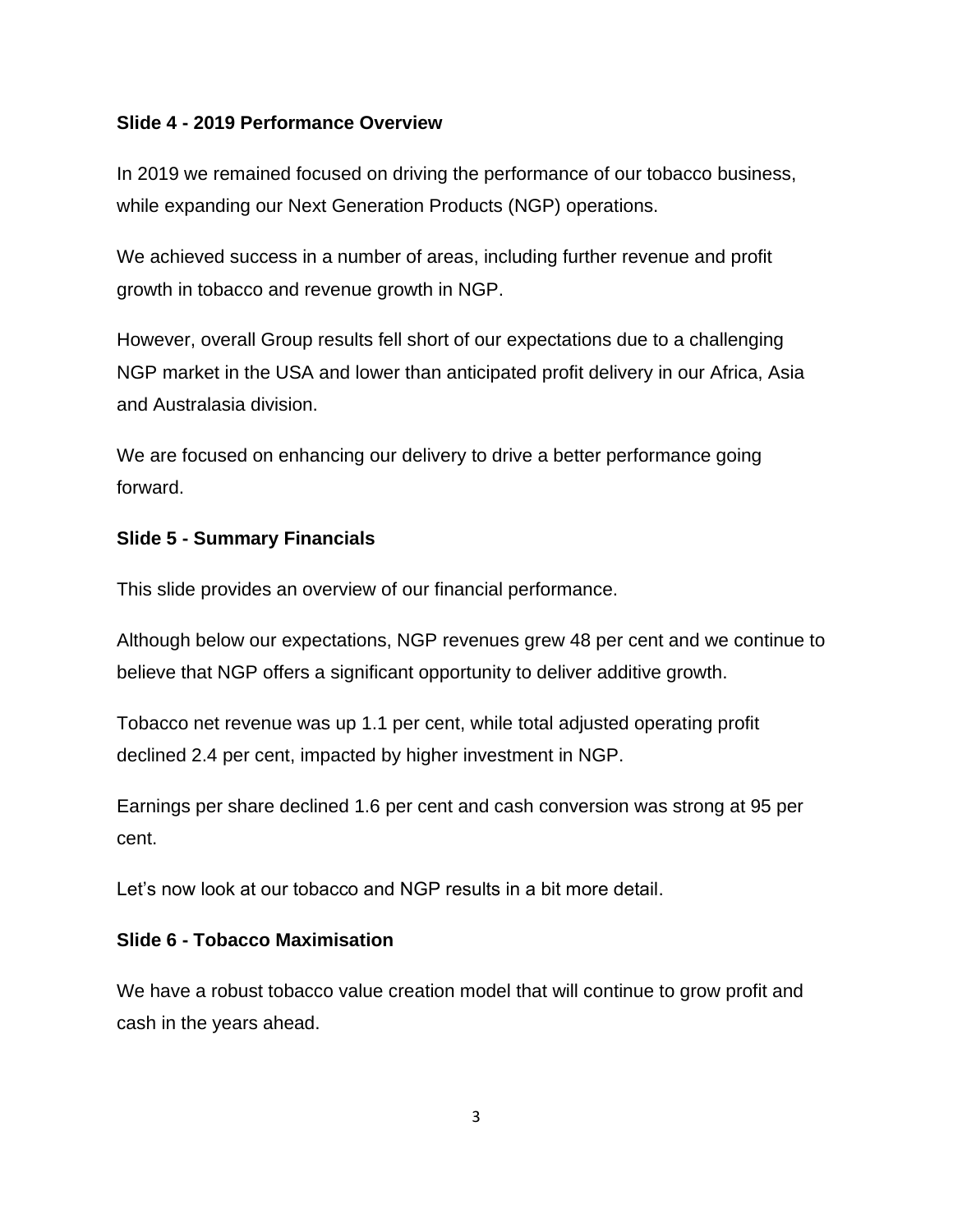#### **Slide 4 - 2019 Performance Overview**

In 2019 we remained focused on driving the performance of our tobacco business, while expanding our Next Generation Products (NGP) operations.

We achieved success in a number of areas, including further revenue and profit growth in tobacco and revenue growth in NGP.

However, overall Group results fell short of our expectations due to a challenging NGP market in the USA and lower than anticipated profit delivery in our Africa, Asia and Australasia division.

We are focused on enhancing our delivery to drive a better performance going forward.

#### **Slide 5 - Summary Financials**

This slide provides an overview of our financial performance.

Although below our expectations, NGP revenues grew 48 per cent and we continue to believe that NGP offers a significant opportunity to deliver additive growth.

Tobacco net revenue was up 1.1 per cent, while total adjusted operating profit declined 2.4 per cent, impacted by higher investment in NGP.

Earnings per share declined 1.6 per cent and cash conversion was strong at 95 per cent.

Let's now look at our tobacco and NGP results in a bit more detail.

#### **Slide 6 - Tobacco Maximisation**

We have a robust tobacco value creation model that will continue to grow profit and cash in the years ahead.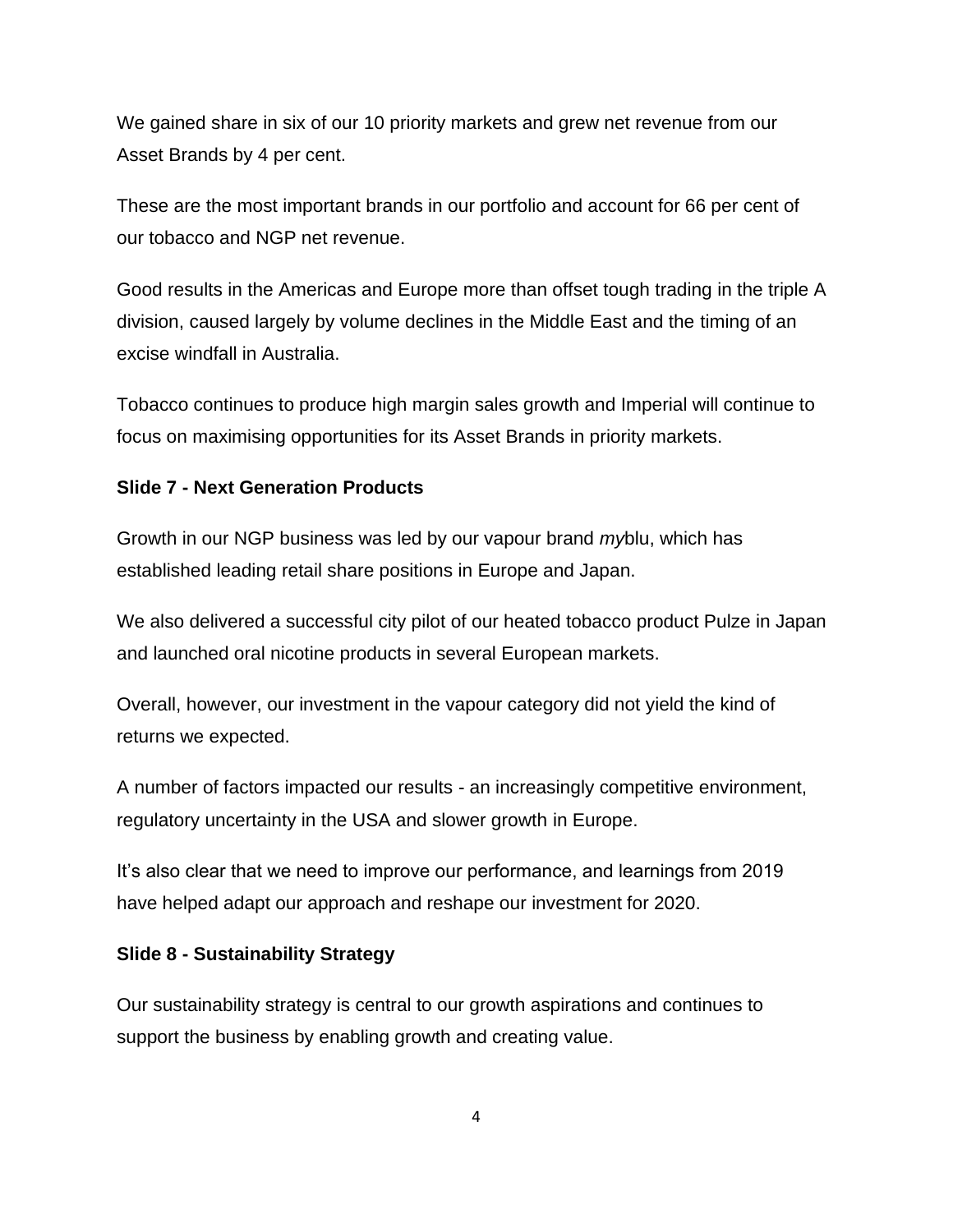We gained share in six of our 10 priority markets and grew net revenue from our Asset Brands by 4 per cent.

These are the most important brands in our portfolio and account for 66 per cent of our tobacco and NGP net revenue.

Good results in the Americas and Europe more than offset tough trading in the triple A division, caused largely by volume declines in the Middle East and the timing of an excise windfall in Australia.

Tobacco continues to produce high margin sales growth and Imperial will continue to focus on maximising opportunities for its Asset Brands in priority markets.

# **Slide 7 - Next Generation Products**

Growth in our NGP business was led by our vapour brand *my*blu, which has established leading retail share positions in Europe and Japan.

We also delivered a successful city pilot of our heated tobacco product Pulze in Japan and launched oral nicotine products in several European markets.

Overall, however, our investment in the vapour category did not yield the kind of returns we expected.

A number of factors impacted our results - an increasingly competitive environment, regulatory uncertainty in the USA and slower growth in Europe.

It's also clear that we need to improve our performance, and learnings from 2019 have helped adapt our approach and reshape our investment for 2020.

# **Slide 8 - Sustainability Strategy**

Our sustainability strategy is central to our growth aspirations and continues to support the business by enabling growth and creating value.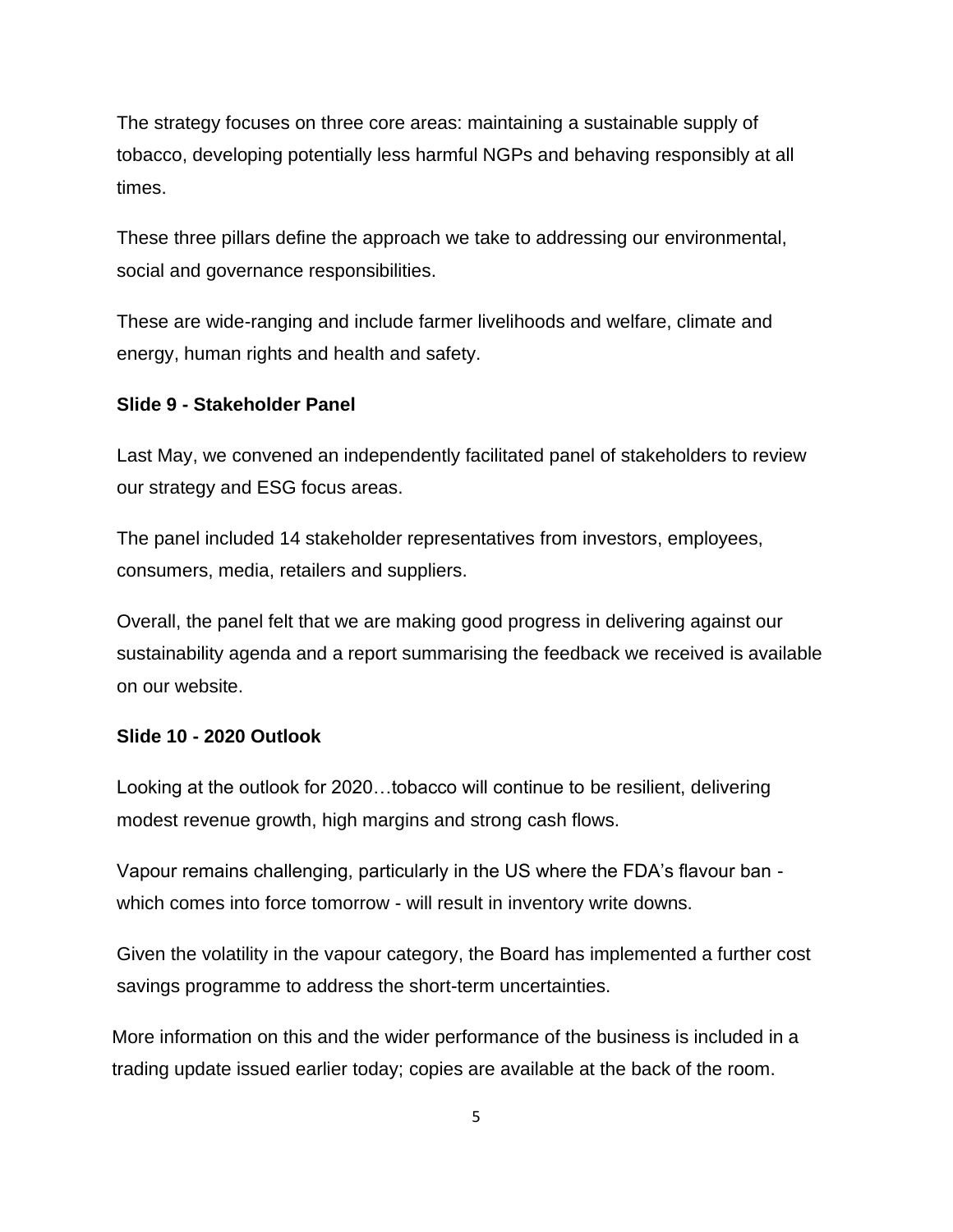The strategy focuses on three core areas: maintaining a sustainable supply of tobacco, developing potentially less harmful NGPs and behaving responsibly at all times.

These three pillars define the approach we take to addressing our environmental, social and governance responsibilities.

These are wide-ranging and include farmer livelihoods and welfare, climate and energy, human rights and health and safety.

# **Slide 9 - Stakeholder Panel**

Last May, we convened an independently facilitated panel of stakeholders to review our strategy and ESG focus areas.

The panel included 14 stakeholder representatives from investors, employees, consumers, media, retailers and suppliers.

Overall, the panel felt that we are making good progress in delivering against our sustainability agenda and a report summarising the feedback we received is available on our website.

# **Slide 10 - 2020 Outlook**

Looking at the outlook for 2020…tobacco will continue to be resilient, delivering modest revenue growth, high margins and strong cash flows.

Vapour remains challenging, particularly in the US where the FDA's flavour ban which comes into force tomorrow - will result in inventory write downs.

Given the volatility in the vapour category, the Board has implemented a further cost savings programme to address the short-term uncertainties.

More information on this and the wider performance of the business is included in a trading update issued earlier today; copies are available at the back of the room.